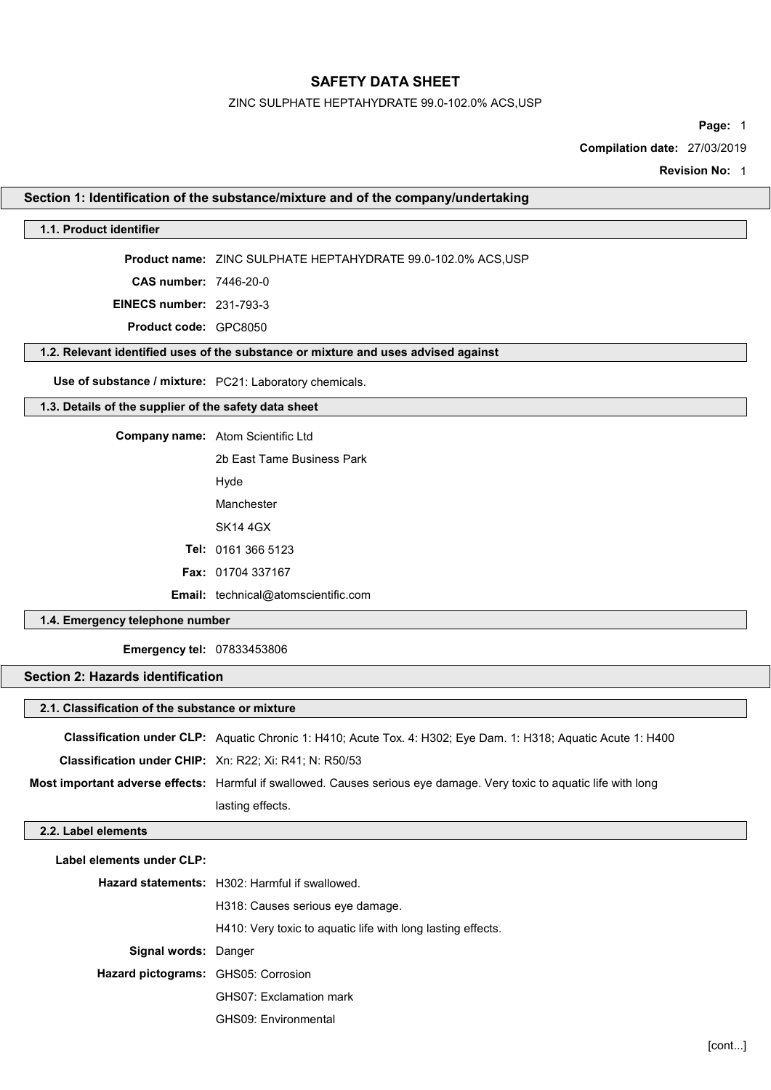### ZINC SULPHATE HEPTAHYDRATE 99.0-102.0% ACS,USP

Page: 1

Compilation date: 27/03/2019

Revision No: 1

### Section 1: Identification of the substance/mixture and of the company/undertaking

### 1.1. Product identifier

Product name: ZINC SULPHATE HEPTAHYDRATE 99.0-102.0% ACS,USP

CAS number: 7446-20-0

EINECS number: 231-793-3

Product code: GPC8050

#### 1.2. Relevant identified uses of the substance or mixture and uses advised against

Use of substance / mixture: PC21: Laboratory chemicals.

## 1.3. Details of the supplier of the safety data sheet

Company name: Atom Scientific Ltd

2b East Tame Business Park Hyde Manchester SK14 4GX Tel: 0161 366 5123 Fax: 01704 337167 Email: technical@atomscientific.com

### 1.4. Emergency telephone number

Emergency tel: 07833453806

## Section 2: Hazards identification

| 2.1. Classification of the substance or mixture |  |  |  |
|-------------------------------------------------|--|--|--|
|-------------------------------------------------|--|--|--|

|                                                               | <b>Classification under CLP:</b> Aquatic Chronic 1: H410; Acute Tox. 4: H302; Eye Dam. 1: H318; Aquatic Acute 1: H400 |
|---------------------------------------------------------------|-----------------------------------------------------------------------------------------------------------------------|
| <b>Classification under CHIP:</b> Xn: R22: Xi: R41: N: R50/53 |                                                                                                                       |
|                                                               | Most important adverse effects: Harmful if swallowed. Causes serious eye damage. Very toxic to aquatic life with long |
|                                                               | lasting effects.                                                                                                      |

#### 2.2. Label elements

| Label elements under CLP:           |                                                             |
|-------------------------------------|-------------------------------------------------------------|
|                                     | Hazard statements: H302: Harmful if swallowed.              |
|                                     | H318: Causes serious eye damage.                            |
|                                     | H410: Very toxic to aquatic life with long lasting effects. |
| <b>Signal words: Danger</b>         |                                                             |
| Hazard pictograms: GHS05: Corrosion |                                                             |
|                                     | <b>GHS07: Exclamation mark</b>                              |
|                                     | GHS09: Environmental                                        |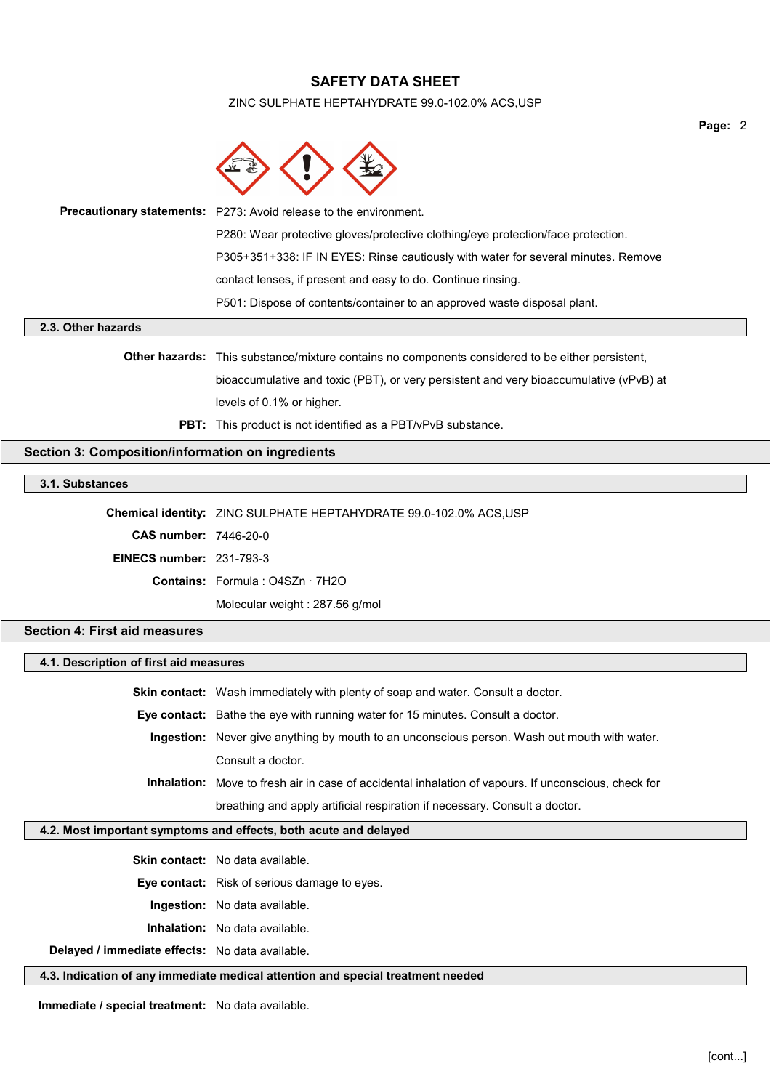#### ZINC SULPHATE HEPTAHYDRATE 99.0-102.0% ACS,USP



| P501: Dispose of contents/container to an approved waste disposal plant.          |
|-----------------------------------------------------------------------------------|
| contact lenses, if present and easy to do. Continue rinsing.                      |
| P305+351+338: IF IN EYES: Rinse cautiously with water for several minutes. Remove |
| P280: Wear protective gloves/protective clothing/eye protection/face protection.  |
| Precautionary statements: P273: Avoid release to the environment.                 |

### 2.3. Other hazards

Other hazards: This substance/mixture contains no components considered to be either persistent, bioaccumulative and toxic (PBT), or very persistent and very bioaccumulative (vPvB) at levels of 0.1% or higher.

**PBT:** This product is not identified as a PBT/vPvB substance.

## Section 3: Composition/information on ingredients

## 3.1. Substances

Chemical identity: ZINC SULPHATE HEPTAHYDRATE 99.0-102.0% ACS,USP

CAS number: 7446-20-0

EINECS number: 231-793-3

Contains: Formula : O4SZn · 7H2O

Molecular weight : 287.56 g/mol

## Section 4: First aid measures

#### 4.1. Description of first aid measures

Skin contact: Wash immediately with plenty of soap and water. Consult a doctor. Eye contact: Bathe the eye with running water for 15 minutes. Consult a doctor. Ingestion: Never give anything by mouth to an unconscious person. Wash out mouth with water. Consult a doctor. Inhalation: Move to fresh air in case of accidental inhalation of vapours. If unconscious, check for

breathing and apply artificial respiration if necessary. Consult a doctor.

## 4.2. Most important symptoms and effects, both acute and delayed

Skin contact: No data available.

Eye contact: Risk of serious damage to eyes.

Ingestion: No data available.

Inhalation: No data available.

Delayed / immediate effects: No data available.

4.3. Indication of any immediate medical attention and special treatment needed

Immediate / special treatment: No data available.

Page: 2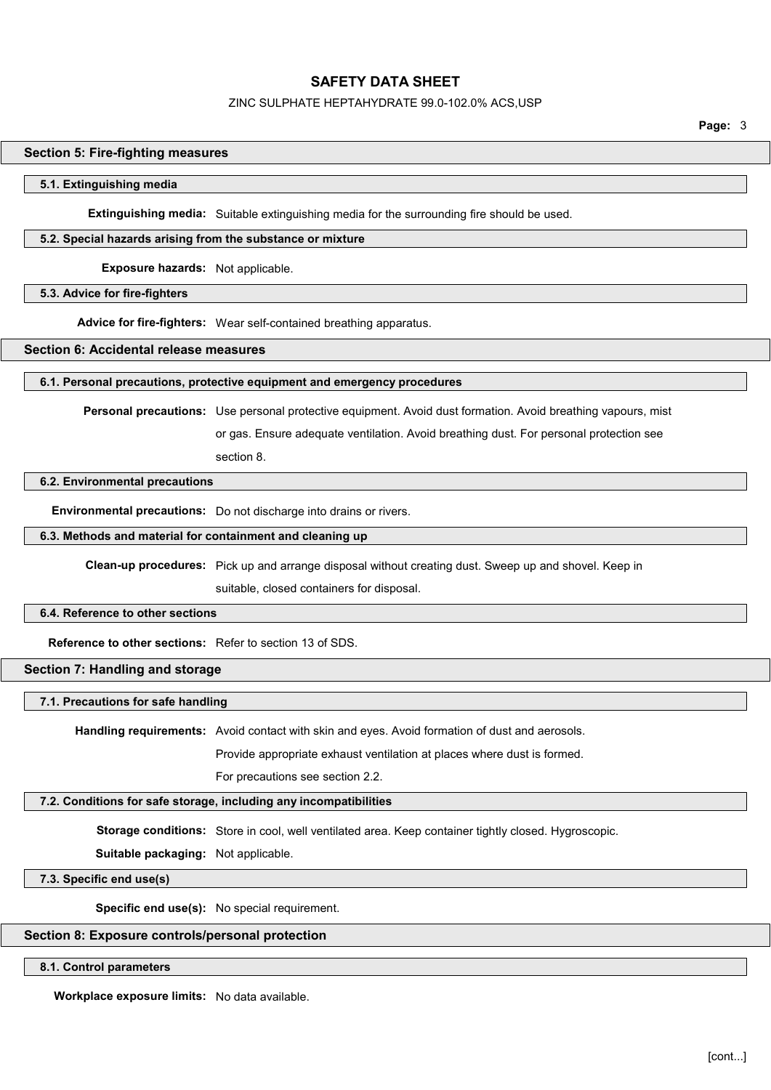#### ZINC SULPHATE HEPTAHYDRATE 99.0-102.0% ACS,USP

Page: 3

#### Section 5: Fire-fighting measures

#### 5.1. Extinguishing media

Extinguishing media: Suitable extinguishing media for the surrounding fire should be used.

#### 5.2. Special hazards arising from the substance or mixture

Exposure hazards: Not applicable.

#### 5.3. Advice for fire-fighters

Advice for fire-fighters: Wear self-contained breathing apparatus.

## Section 6: Accidental release measures

#### 6.1. Personal precautions, protective equipment and emergency procedures

Personal precautions: Use personal protective equipment. Avoid dust formation. Avoid breathing vapours, mist

or gas. Ensure adequate ventilation. Avoid breathing dust. For personal protection see

#### section 8.

### 6.2. Environmental precautions

Environmental precautions: Do not discharge into drains or rivers.

#### 6.3. Methods and material for containment and cleaning up

Clean-up procedures: Pick up and arrange disposal without creating dust. Sweep up and shovel. Keep in

suitable, closed containers for disposal.

#### 6.4. Reference to other sections

Reference to other sections: Refer to section 13 of SDS.

#### Section 7: Handling and storage

7.1. Precautions for safe handling

Handling requirements: Avoid contact with skin and eyes. Avoid formation of dust and aerosols.

Provide appropriate exhaust ventilation at places where dust is formed.

For precautions see section 2.2.

#### 7.2. Conditions for safe storage, including any incompatibilities

Storage conditions: Store in cool, well ventilated area. Keep container tightly closed. Hygroscopic.

Suitable packaging: Not applicable.

7.3. Specific end use(s)

Specific end use(s): No special requirement.

## Section 8: Exposure controls/personal protection

#### 8.1. Control parameters

Workplace exposure limits: No data available.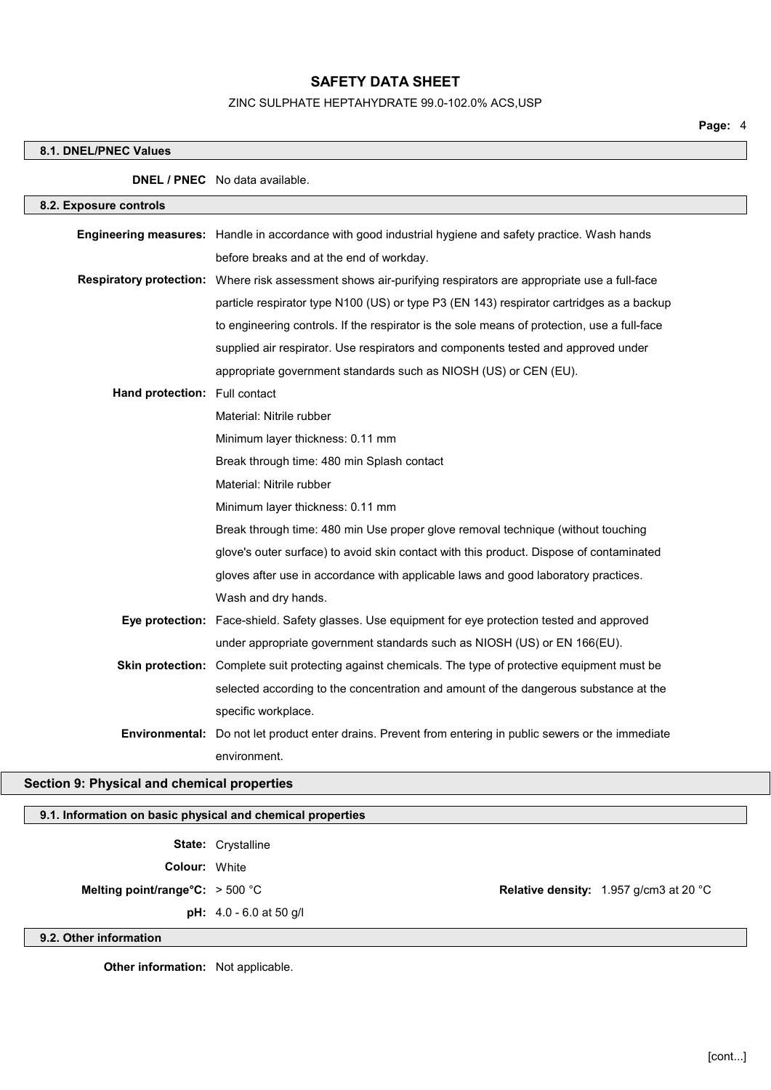## ZINC SULPHATE HEPTAHYDRATE 99.0-102.0% ACS,USP

## 8.1. DNEL/PNEC Values

|                               | <b>DNEL / PNEC</b> No data available.                                                                         |
|-------------------------------|---------------------------------------------------------------------------------------------------------------|
| 8.2. Exposure controls        |                                                                                                               |
|                               | Engineering measures: Handle in accordance with good industrial hygiene and safety practice. Wash hands       |
|                               | before breaks and at the end of workday.                                                                      |
|                               | Respiratory protection: Where risk assessment shows air-purifying respirators are appropriate use a full-face |
|                               | particle respirator type N100 (US) or type P3 (EN 143) respirator cartridges as a backup                      |
|                               | to engineering controls. If the respirator is the sole means of protection, use a full-face                   |
|                               | supplied air respirator. Use respirators and components tested and approved under                             |
|                               | appropriate government standards such as NIOSH (US) or CEN (EU).                                              |
| Hand protection: Full contact |                                                                                                               |
|                               | Material: Nitrile rubber                                                                                      |
|                               | Minimum layer thickness: 0.11 mm                                                                              |
|                               | Break through time: 480 min Splash contact                                                                    |
|                               | Material: Nitrile rubber                                                                                      |
|                               | Minimum layer thickness: 0.11 mm                                                                              |
|                               | Break through time: 480 min Use proper glove removal technique (without touching                              |
|                               | glove's outer surface) to avoid skin contact with this product. Dispose of contaminated                       |
|                               | gloves after use in accordance with applicable laws and good laboratory practices.                            |
|                               | Wash and dry hands.                                                                                           |
|                               | Eye protection: Face-shield. Safety glasses. Use equipment for eye protection tested and approved             |
|                               | under appropriate government standards such as NIOSH (US) or EN 166(EU).                                      |
|                               | Skin protection: Complete suit protecting against chemicals. The type of protective equipment must be         |
|                               | selected according to the concentration and amount of the dangerous substance at the                          |
|                               | specific workplace.                                                                                           |
|                               | Environmental: Do not let product enter drains. Prevent from entering in public sewers or the immediate       |
|                               | environment.                                                                                                  |

# Section 9: Physical and chemical properties

| 9.1. Information on basic physical and chemical properties |                                  |  |                                                         |
|------------------------------------------------------------|----------------------------------|--|---------------------------------------------------------|
|                                                            | <b>State: Crystalline</b>        |  |                                                         |
| <b>Colour: White</b>                                       |                                  |  |                                                         |
| Melting point/range°C: $>$ 500 °C                          |                                  |  | <b>Relative density:</b> 1.957 g/cm3 at 20 $^{\circ}$ C |
|                                                            | <b>pH:</b> $4.0 - 6.0$ at 50 g/l |  |                                                         |
| 9.2. Other information                                     |                                  |  |                                                         |
|                                                            |                                  |  |                                                         |

Other information: Not applicable.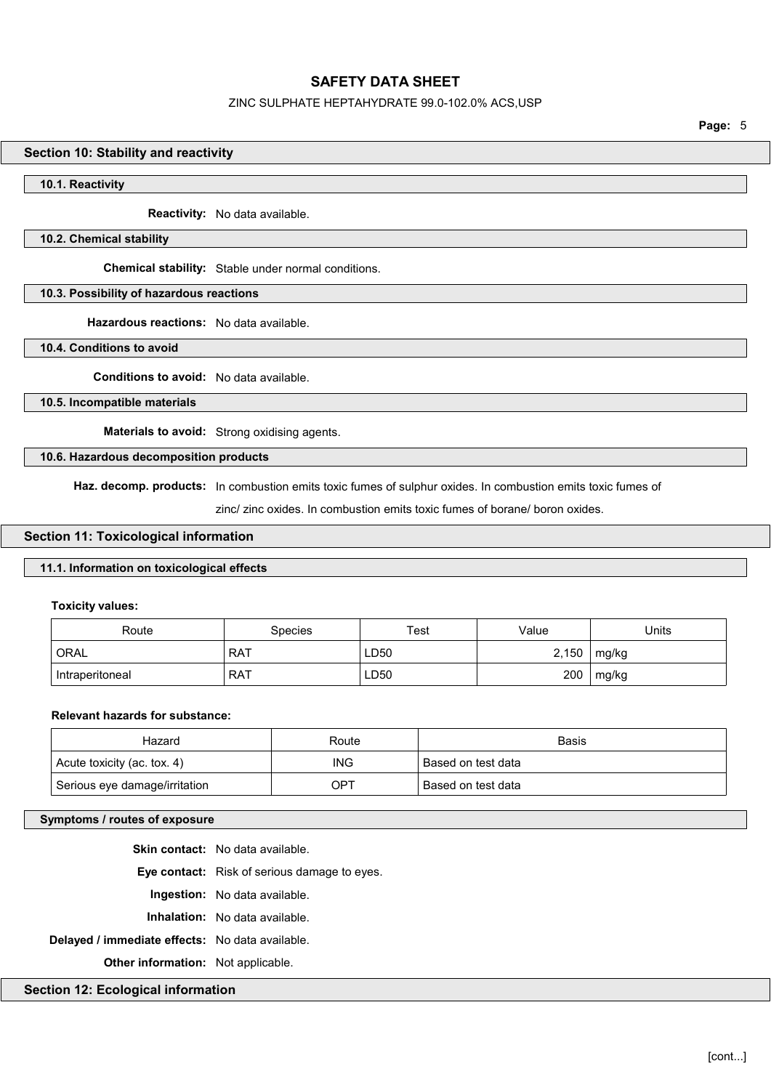## ZINC SULPHATE HEPTAHYDRATE 99.0-102.0% ACS,USP

Page: 5

#### Section 10: Stability and reactivity

#### 10.1. Reactivity

Reactivity: No data available.

#### 10.2. Chemical stability

Chemical stability: Stable under normal conditions.

### 10.3. Possibility of hazardous reactions

Hazardous reactions: No data available.

10.4. Conditions to avoid

Conditions to avoid: No data available.

10.5. Incompatible materials

Materials to avoid: Strong oxidising agents.

### 10.6. Hazardous decomposition products

Haz. decomp. products: In combustion emits toxic fumes of sulphur oxides. In combustion emits toxic fumes of

zinc/ zinc oxides. In combustion emits toxic fumes of borane/ boron oxides.

### Section 11: Toxicological information

## 11.1. Information on toxicological effects

#### Toxicity values:

| Route           | Species | Test | Value | Units |
|-----------------|---------|------|-------|-------|
| <b>ORAL</b>     | RAT     | LD50 | 2,150 | mg/kg |
| Intraperitoneal | RAT     | LD50 | 200   | mg/kg |

## Relevant hazards for substance:

| Hazard                        | Route      | Basis              |
|-------------------------------|------------|--------------------|
| Acute toxicity (ac. tox. 4)   | <b>ING</b> | Based on test data |
| Serious eye damage/irritation | OPT        | Based on test data |

## Symptoms / routes of exposure

Skin contact: No data available. Eye contact: Risk of serious damage to eyes. Ingestion: No data available. Inhalation: No data available. Delayed / immediate effects: No data available. Other information: Not applicable.

Section 12: Ecological information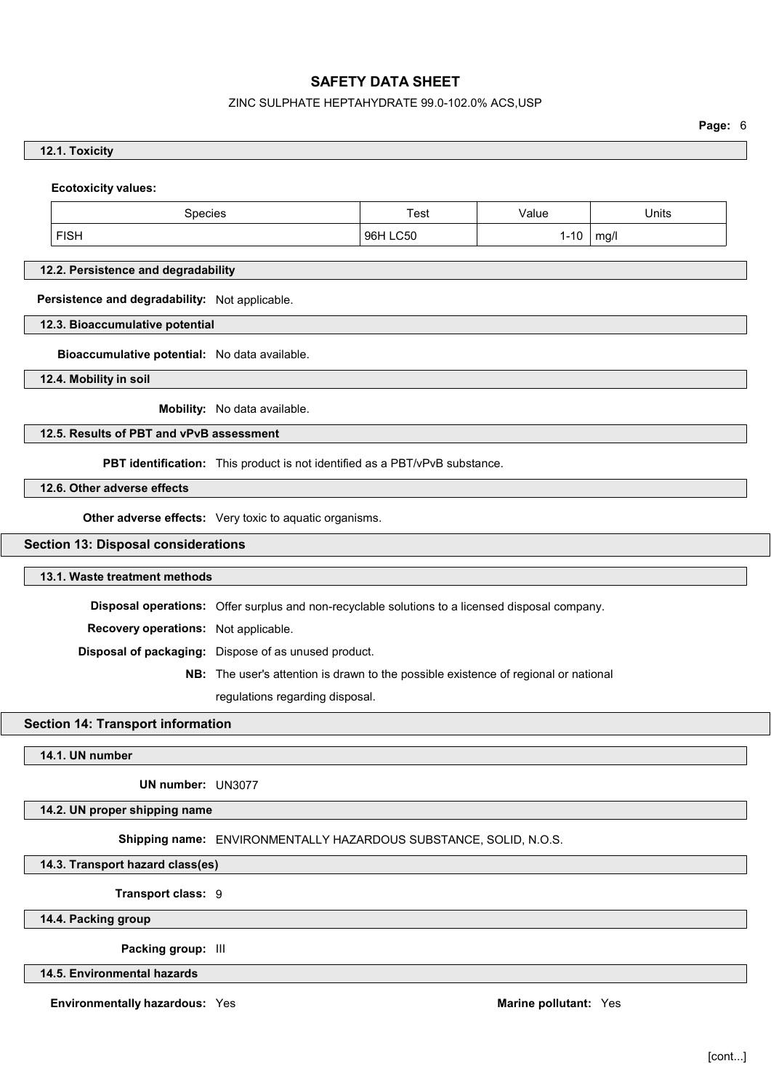# ZINC SULPHATE HEPTAHYDRATE 99.0-102.0% ACS,USP

Page: 6

| <b>Ecotoxicity values:</b>                     |                                                                                                 |          |          |              |
|------------------------------------------------|-------------------------------------------------------------------------------------------------|----------|----------|--------------|
| Species                                        |                                                                                                 | Test     | Value    | <b>Units</b> |
| <b>FISH</b>                                    |                                                                                                 | 96H LC50 | $1 - 10$ | mg/l         |
| 12.2. Persistence and degradability            |                                                                                                 |          |          |              |
| Persistence and degradability: Not applicable. |                                                                                                 |          |          |              |
| 12.3. Bioaccumulative potential                |                                                                                                 |          |          |              |
| Bioaccumulative potential: No data available.  |                                                                                                 |          |          |              |
| 12.4. Mobility in soil                         |                                                                                                 |          |          |              |
|                                                | Mobility: No data available.                                                                    |          |          |              |
| 12.5. Results of PBT and vPvB assessment       |                                                                                                 |          |          |              |
|                                                | PBT identification: This product is not identified as a PBT/vPvB substance.                     |          |          |              |
| 12.6. Other adverse effects                    |                                                                                                 |          |          |              |
|                                                | Other adverse effects: Very toxic to aquatic organisms.                                         |          |          |              |
| <b>Section 13: Disposal considerations</b>     |                                                                                                 |          |          |              |
| 13.1. Waste treatment methods                  |                                                                                                 |          |          |              |
|                                                | Disposal operations: Offer surplus and non-recyclable solutions to a licensed disposal company. |          |          |              |
| Recovery operations: Not applicable.           |                                                                                                 |          |          |              |
|                                                | Disposal of packaging: Dispose of as unused product.                                            |          |          |              |
|                                                | NB: The user's attention is drawn to the possible existence of regional or national             |          |          |              |
|                                                | regulations regarding disposal.                                                                 |          |          |              |
| <b>Section 14: Transport information</b>       |                                                                                                 |          |          |              |
|                                                |                                                                                                 |          |          |              |
| 14.1. UN number                                |                                                                                                 |          |          |              |
| UN number: UN3077                              |                                                                                                 |          |          |              |
| 14.2. UN proper shipping name                  |                                                                                                 |          |          |              |
|                                                | Shipping name: ENVIRONMENTALLY HAZARDOUS SUBSTANCE, SOLID, N.O.S.                               |          |          |              |
| 14.3. Transport hazard class(es)               |                                                                                                 |          |          |              |
| Transport class: 9                             |                                                                                                 |          |          |              |
| 14.4. Packing group                            |                                                                                                 |          |          |              |
| Packing group: III                             |                                                                                                 |          |          |              |
| 14.5. Environmental hazards                    |                                                                                                 |          |          |              |